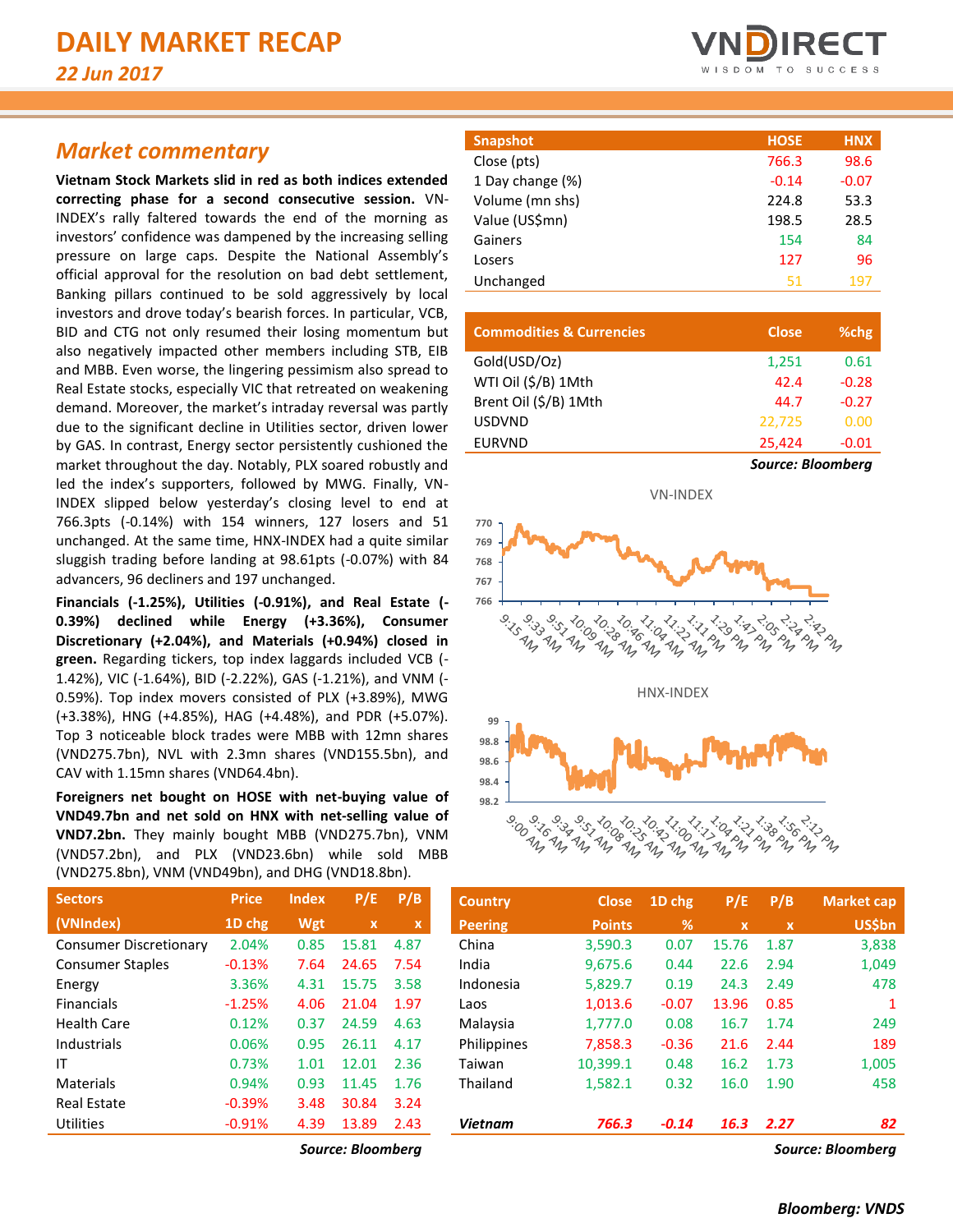## *Market commentary*

**Vietnam Stock Markets slid in red as both indices extended correcting phase for a second consecutive session.** VN-INDEX's rally faltered towards the end of the morning as investors' confidence was dampened by the increasing selling pressure on large caps. Despite the National Assembly's official approval for the resolution on bad debt settlement, Banking pillars continued to be sold aggressively by local investors and drove today's bearish forces. In particular, VCB, BID and CTG not only resumed their losing momentum but also negatively impacted other members including STB, EIB and MBB. Even worse, the lingering pessimism also spread to Real Estate stocks, especially VIC that retreated on weakening demand. Moreover, the market's intraday reversal was partly due to the significant decline in Utilities sector, driven lower by GAS. In contrast, Energy sector persistently cushioned the market throughout the day. Notably, PLX soared robustly and led the index's supporters, followed by MWG. Finally, VN-INDEX slipped below yesterday's closing level to end at 766.3pts (-0.14%) with 154 winners, 127 losers and 51 unchanged. At the same time, HNX-INDEX had a quite similar sluggish trading before landing at 98.61pts (-0.07%) with 84 advancers, 96 decliners and 197 unchanged.

**Financials (-1.25%), Utilities (-0.91%), and Real Estate (- 0.39%) declined while Energy (+3.36%), Consumer Discretionary (+2.04%), and Materials (+0.94%) closed in green.** Regarding tickers, top index laggards included VCB (- 1.42%), VIC (-1.64%), BID (-2.22%), GAS (-1.21%), and VNM (- 0.59%). Top index movers consisted of PLX (+3.89%), MWG (+3.38%), HNG (+4.85%), HAG (+4.48%), and PDR (+5.07%). Top 3 noticeable block trades were MBB with 12mn shares (VND275.7bn), NVL with 2.3mn shares (VND155.5bn), and CAV with 1.15mn shares (VND64.4bn).

**Foreigners net bought on HOSE with net-buying value of VND49.7bn and net sold on HNX with net-selling value of VND7.2bn.** They mainly bought MBB (VND275.7bn), VNM (VND57.2bn), and PLX (VND23.6bn) while sold MBB (VND275.8bn), VNM (VND49bn), and DHG (VND18.8bn).

| <b>Sectors</b>                | <b>Price</b> | <b>Index</b> | P/E         | P/B  |
|-------------------------------|--------------|--------------|-------------|------|
| (VNIndex)                     | 1D chg       | Wgt          | $\mathbf x$ | x    |
| <b>Consumer Discretionary</b> | 2.04%        | 0.85         | 15.81       | 4.87 |
| <b>Consumer Staples</b>       | $-0.13%$     | 7.64         | 24.65       | 7.54 |
| Energy                        | 3.36%        | 4.31         | 15.75       | 3.58 |
| <b>Financials</b>             | $-1.25%$     | 4.06         | 21.04       | 1.97 |
| <b>Health Care</b>            | 0.12%        | 0.37         | 24.59       | 4.63 |
| Industrials                   | 0.06%        | 0.95         | 26.11       | 4.17 |
| ΙT                            | 0.73%        | 1.01         | 12.01       | 2.36 |
| Materials                     | 0.94%        | 0.93         | 11.45       | 1.76 |
| Real Estate                   | $-0.39%$     | 3.48         | 30.84       | 3.24 |
| Utilities                     | $-0.91%$     | 4.39         | 13.89       | 2.43 |



| <b>Snapshot</b>  | <b>HOSE</b> | <b>HNX</b> |
|------------------|-------------|------------|
| Close (pts)      | 766.3       | 98.6       |
| 1 Day change (%) | $-0.14$     | $-0.07$    |
| Volume (mn shs)  | 224.8       | 53.3       |
| Value (US\$mn)   | 198.5       | 28.5       |
| Gainers          | 154         | 84         |
| Losers           | 127         | 96         |
| Unchanged        | 51          | 197        |
|                  |             |            |

| <b>Commodities &amp; Currencies</b> | <b>Close</b>      | %chg    |
|-------------------------------------|-------------------|---------|
| Gold(USD/Oz)                        | 1,251             | 0.61    |
| WTI Oil (\$/B) 1Mth                 | 42.4              | $-0.28$ |
| Brent Oil (\$/B) 1Mth               | 44.7              | $-0.27$ |
| <b>USDVND</b>                       | 22.725            | 0.00    |
| <b>EURVND</b>                       | 25,424            | $-0.01$ |
|                                     | Source: Bloomberg |         |



| <b>Sectors</b>          | <b>Price</b> | <b>Index</b> | P/E          | P/B  | <b>Country</b> | <b>Close</b>  | 1D chg  | P/E          | P/B          | <b>Market cap</b> |
|-------------------------|--------------|--------------|--------------|------|----------------|---------------|---------|--------------|--------------|-------------------|
| (VNIndex)               | 1D chg       | Wgt          | $\mathbf{x}$ | x    | <b>Peering</b> | <b>Points</b> | %       | $\mathbf{x}$ | $\mathbf{x}$ | <b>US\$bn</b>     |
| Consumer Discretionary  | 2.04%        | 0.85         | 15.81        | 4.87 | China          | 3,590.3       | 0.07    | 15.76        | 1.87         | 3,838             |
| <b>Consumer Staples</b> | $-0.13%$     | 7.64         | 24.65        | 7.54 | India          | 9,675.6       | 0.44    | 22.6         | 2.94         | 1,049             |
| Energy                  | 3.36%        | 4.31         | 15.75        | 3.58 | Indonesia      | 5,829.7       | 0.19    | 24.3         | 2.49         | 478               |
| <b>Financials</b>       | $-1.25%$     | 4.06         | 21.04        | 1.97 | Laos           | 1,013.6       | $-0.07$ | 13.96        | 0.85         |                   |
| Health Care             | 0.12%        | 0.37         | 24.59        | 4.63 | Malaysia       | 1.777.0       | 0.08    | 16.7         | 1.74         | 249               |
| Industrials             | 0.06%        | 0.95         | 26.11        | 4.17 | Philippines    | 7,858.3       | $-0.36$ | 21.6         | 2.44         | 189               |
| ΙT                      | 0.73%        | 1.01         | 12.01        | 2.36 | Taiwan         | 10.399.1      | 0.48    | 16.2         | 1.73         | 1,005             |
| Materials               | 0.94%        | 0.93         | 11.45        | 1.76 | Thailand       | 1,582.1       | 0.32    | 16.0         | 1.90         | 458               |
| <b>Real Estate</b>      | $-0.39%$     | 3.48         | 30.84        | 3.24 |                |               |         |              |              |                   |
| Utilities               | $-0.91%$     | 4.39         | 13.89        | 2.43 | <b>Vietnam</b> | 766.3         | $-0.14$ | 16.3         | 2.27         | 82                |
|                         |              |              | $ -$         |      |                |               |         |              |              |                   |

*Source: Bloomberg Source: Bloomberg*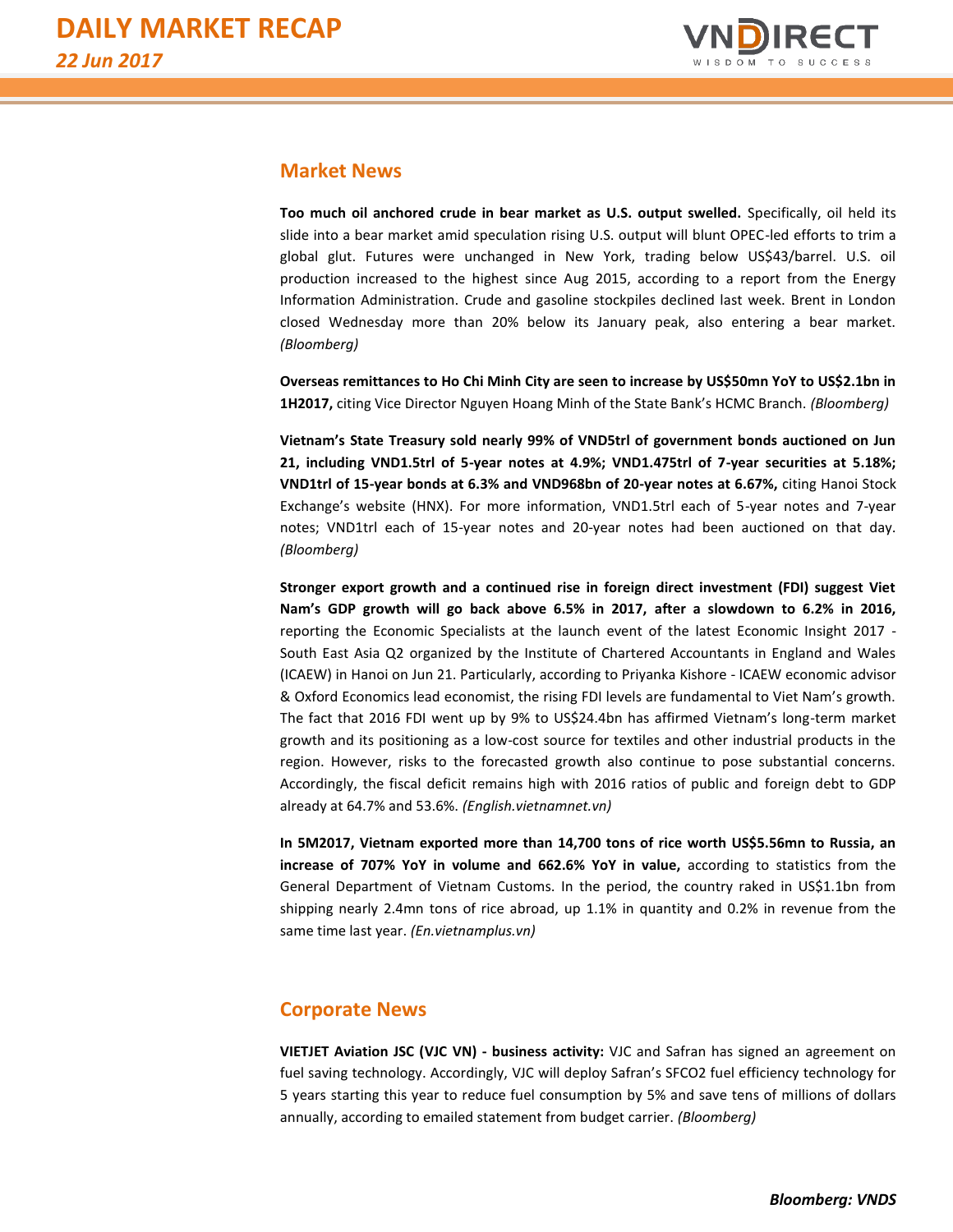

### **Market News**

**Too much oil anchored crude in bear market as U.S. output swelled.** Specifically, oil held its slide into a bear market amid speculation rising U.S. output will blunt OPEC-led efforts to trim a global glut. Futures were unchanged in New York, trading below US\$43/barrel. U.S. oil production increased to the highest since Aug 2015, according to a report from the Energy Information Administration. Crude and gasoline stockpiles declined last week. Brent in London closed Wednesday more than 20% below its January peak, also entering a bear market. *(Bloomberg)*

**Overseas remittances to Ho Chi Minh City are seen to increase by US\$50mn YoY to US\$2.1bn in 1H2017,** citing Vice Director Nguyen Hoang Minh of the State Bank's HCMC Branch. *(Bloomberg)*

**Vietnam's State Treasury sold nearly 99% of VND5trl of government bonds auctioned on Jun 21, including VND1.5trl of 5-year notes at 4.9%; VND1.475trl of 7-year securities at 5.18%; VND1trl of 15-year bonds at 6.3% and VND968bn of 20-year notes at 6.67%,** citing Hanoi Stock Exchange's website (HNX). For more information, VND1.5trl each of 5-year notes and 7-year notes; VND1trl each of 15-year notes and 20-year notes had been auctioned on that day. *(Bloomberg)*

**Stronger export growth and a continued rise in foreign direct investment (FDI) suggest Viet Nam's GDP growth will go back above 6.5% in 2017, after a slowdown to 6.2% in 2016,**  reporting the Economic Specialists at the launch event of the latest Economic Insight 2017 - South East Asia Q2 organized by the Institute of Chartered Accountants in England and Wales (ICAEW) in Hanoi on Jun 21. Particularly, according to Priyanka Kishore - ICAEW economic advisor & Oxford Economics lead economist, the rising FDI levels are fundamental to Viet Nam's growth. The fact that 2016 FDI went up by 9% to US\$24.4bn has affirmed Vietnam's long-term market growth and its positioning as a low-cost source for textiles and other industrial products in the region. However, risks to the forecasted growth also continue to pose substantial concerns. Accordingly, the fiscal deficit remains high with 2016 ratios of public and foreign debt to GDP already at 64.7% and 53.6%. *(English.vietnamnet.vn)*

**In 5M2017, Vietnam exported more than 14,700 tons of rice worth US\$5.56mn to Russia, an increase of 707% YoY in volume and 662.6% YoY in value,** according to statistics from the General Department of Vietnam Customs. In the period, the country raked in US\$1.1bn from shipping nearly 2.4mn tons of rice abroad, up 1.1% in quantity and 0.2% in revenue from the same time last year. *(En.vietnamplus.vn)*

#### **Corporate News**

**VIETJET Aviation JSC (VJC VN) - business activity:** VJC and Safran has signed an agreement on fuel saving technology. Accordingly, VJC will deploy Safran's SFCO2 fuel efficiency technology for 5 years starting this year to reduce fuel consumption by 5% and save tens of millions of dollars annually, according to emailed statement from budget carrier. *(Bloomberg)*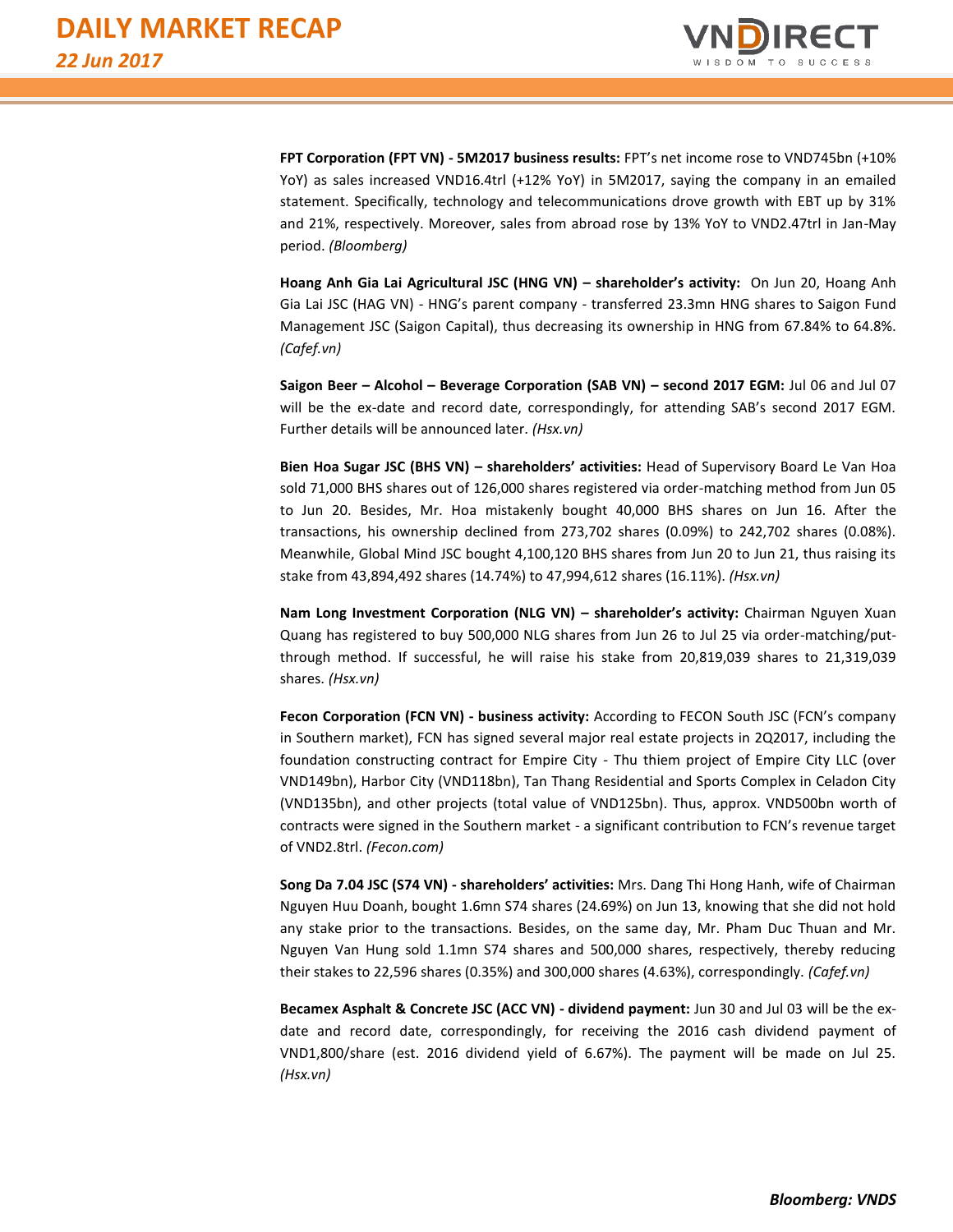

**FPT Corporation (FPT VN) - 5M2017 business results:** FPT's net income rose to VND745bn (+10% YoY) as sales increased VND16.4trl (+12% YoY) in 5M2017, saying the company in an emailed statement. Specifically, technology and telecommunications drove growth with EBT up by 31% and 21%, respectively. Moreover, sales from abroad rose by 13% YoY to VND2.47trl in Jan-May period. *(Bloomberg)*

**Hoang Anh Gia Lai Agricultural JSC (HNG VN) – shareholder's activity:** On Jun 20, Hoang Anh Gia Lai JSC (HAG VN) - HNG's parent company - transferred 23.3mn HNG shares to Saigon Fund Management JSC (Saigon Capital), thus decreasing its ownership in HNG from 67.84% to 64.8%. *(Cafef.vn)*

**Saigon Beer – Alcohol – Beverage Corporation (SAB VN) – second 2017 EGM:** Jul 06 and Jul 07 will be the ex-date and record date, correspondingly, for attending SAB's second 2017 EGM. Further details will be announced later. *(Hsx.vn)*

**Bien Hoa Sugar JSC (BHS VN) – shareholders' activities:** Head of Supervisory Board Le Van Hoa sold 71,000 BHS shares out of 126,000 shares registered via order-matching method from Jun 05 to Jun 20. Besides, Mr. Hoa mistakenly bought 40,000 BHS shares on Jun 16. After the transactions, his ownership declined from 273,702 shares (0.09%) to 242,702 shares (0.08%). Meanwhile, Global Mind JSC bought 4,100,120 BHS shares from Jun 20 to Jun 21, thus raising its stake from 43,894,492 shares (14.74%) to 47,994,612 shares (16.11%). *(Hsx.vn)*

**Nam Long Investment Corporation (NLG VN) – shareholder's activity:** Chairman Nguyen Xuan Quang has registered to buy 500,000 NLG shares from Jun 26 to Jul 25 via order-matching/putthrough method. If successful, he will raise his stake from 20,819,039 shares to 21,319,039 shares. *(Hsx.vn)*

**Fecon Corporation (FCN VN) - business activity:** According to FECON South JSC (FCN's company in Southern market), FCN has signed several major real estate projects in 2Q2017, including the foundation constructing contract for Empire City - Thu thiem project of Empire City LLC (over VND149bn), Harbor City (VND118bn), Tan Thang Residential and Sports Complex in Celadon City (VND135bn), and other projects (total value of VND125bn). Thus, approx. VND500bn worth of contracts were signed in the Southern market - a significant contribution to FCN's revenue target of VND2.8trl. *(Fecon.com)*

**Song Da 7.04 JSC (S74 VN) - shareholders' activities:** Mrs. Dang Thi Hong Hanh, wife of Chairman Nguyen Huu Doanh, bought 1.6mn S74 shares (24.69%) on Jun 13, knowing that she did not hold any stake prior to the transactions. Besides, on the same day, Mr. Pham Duc Thuan and Mr. Nguyen Van Hung sold 1.1mn S74 shares and 500,000 shares, respectively, thereby reducing their stakes to 22,596 shares (0.35%) and 300,000 shares (4.63%), correspondingly. *(Cafef.vn)*

**Becamex Asphalt & Concrete JSC (ACC VN) - dividend payment:** Jun 30 and Jul 03 will be the exdate and record date, correspondingly, for receiving the 2016 cash dividend payment of VND1,800/share (est. 2016 dividend yield of 6.67%). The payment will be made on Jul 25. *(Hsx.vn)*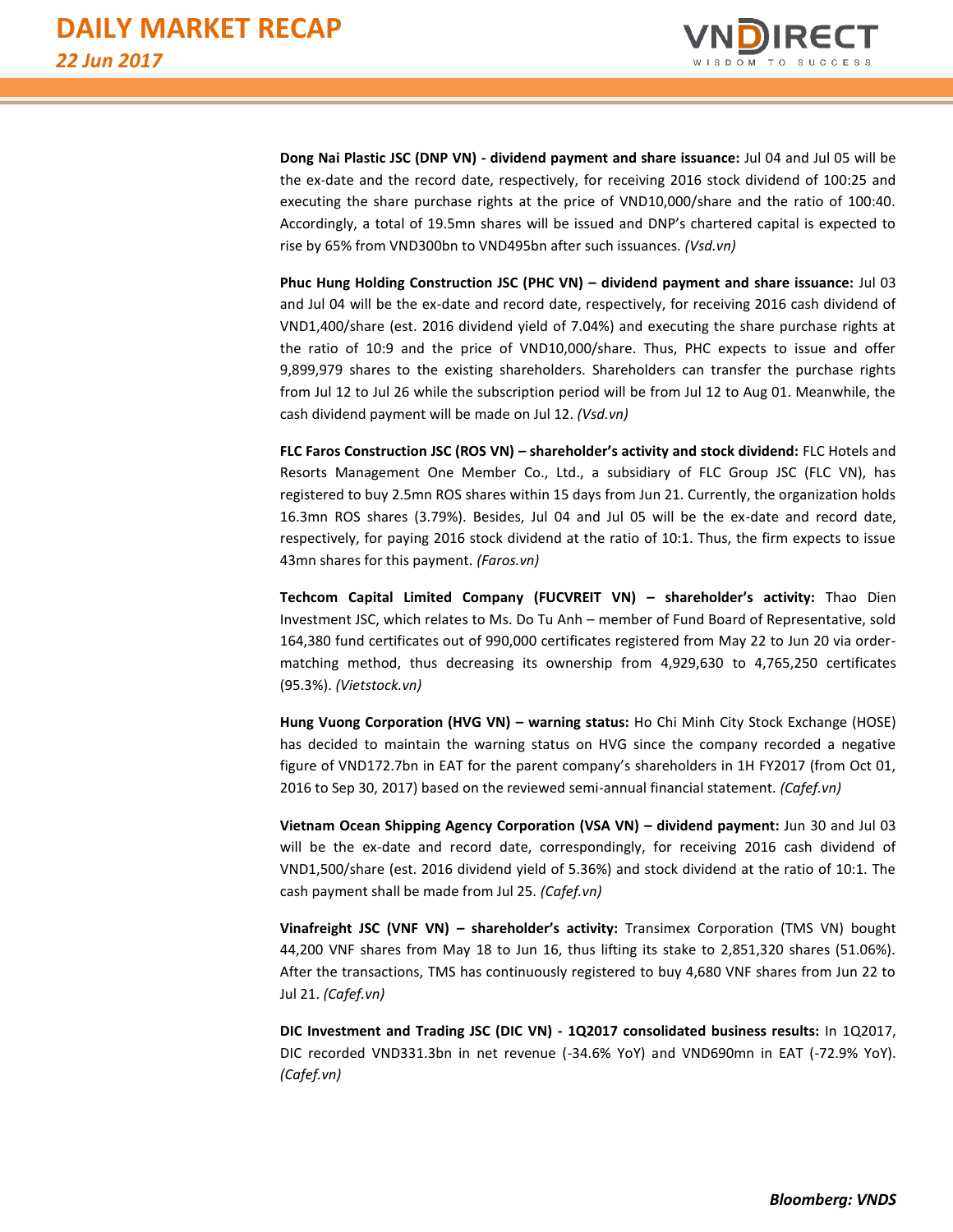

**Dong Nai Plastic JSC (DNP VN) - dividend payment and share issuance:** Jul 04 and Jul 05 will be the ex-date and the record date, respectively, for receiving 2016 stock dividend of 100:25 and executing the share purchase rights at the price of VND10,000/share and the ratio of 100:40. Accordingly, a total of 19.5mn shares will be issued and DNP's chartered capital is expected to rise by 65% from VND300bn to VND495bn after such issuances. *(Vsd.vn)*

**Phuc Hung Holding Construction JSC (PHC VN) – dividend payment and share issuance:** Jul 03 and Jul 04 will be the ex-date and record date, respectively, for receiving 2016 cash dividend of VND1,400/share (est. 2016 dividend yield of 7.04%) and executing the share purchase rights at the ratio of 10:9 and the price of VND10,000/share. Thus, PHC expects to issue and offer 9,899,979 shares to the existing shareholders. Shareholders can transfer the purchase rights from Jul 12 to Jul 26 while the subscription period will be from Jul 12 to Aug 01. Meanwhile, the cash dividend payment will be made on Jul 12. *(Vsd.vn)*

**FLC Faros Construction JSC (ROS VN) – shareholder's activity and stock dividend:** FLC Hotels and Resorts Management One Member Co., Ltd., a subsidiary of FLC Group JSC (FLC VN), has registered to buy 2.5mn ROS shares within 15 days from Jun 21. Currently, the organization holds 16.3mn ROS shares (3.79%). Besides, Jul 04 and Jul 05 will be the ex-date and record date, respectively, for paying 2016 stock dividend at the ratio of 10:1. Thus, the firm expects to issue 43mn shares for this payment. *(Faros.vn)*

**Techcom Capital Limited Company (FUCVREIT VN) – shareholder's activity:** Thao Dien Investment JSC, which relates to Ms. Do Tu Anh – member of Fund Board of Representative, sold 164,380 fund certificates out of 990,000 certificates registered from May 22 to Jun 20 via ordermatching method, thus decreasing its ownership from 4,929,630 to 4,765,250 certificates (95.3%). *(Vietstock.vn)*

**Hung Vuong Corporation (HVG VN) – warning status:** Ho Chi Minh City Stock Exchange (HOSE) has decided to maintain the warning status on HVG since the company recorded a negative figure of VND172.7bn in EAT for the parent company's shareholders in 1H FY2017 (from Oct 01, 2016 to Sep 30, 2017) based on the reviewed semi-annual financial statement. *(Cafef.vn)*

**Vietnam Ocean Shipping Agency Corporation (VSA VN) – dividend payment:** Jun 30 and Jul 03 will be the ex-date and record date, correspondingly, for receiving 2016 cash dividend of VND1,500/share (est. 2016 dividend yield of 5.36%) and stock dividend at the ratio of 10:1. The cash payment shall be made from Jul 25. *(Cafef.vn)*

**Vinafreight JSC (VNF VN) – shareholder's activity:** Transimex Corporation (TMS VN) bought 44,200 VNF shares from May 18 to Jun 16, thus lifting its stake to 2,851,320 shares (51.06%). After the transactions, TMS has continuously registered to buy 4,680 VNF shares from Jun 22 to Jul 21. *(Cafef.vn)*

**DIC Investment and Trading JSC (DIC VN) - 1Q2017 consolidated business results:** In 1Q2017, DIC recorded VND331.3bn in net revenue (-34.6% YoY) and VND690mn in EAT (-72.9% YoY). *(Cafef.vn)*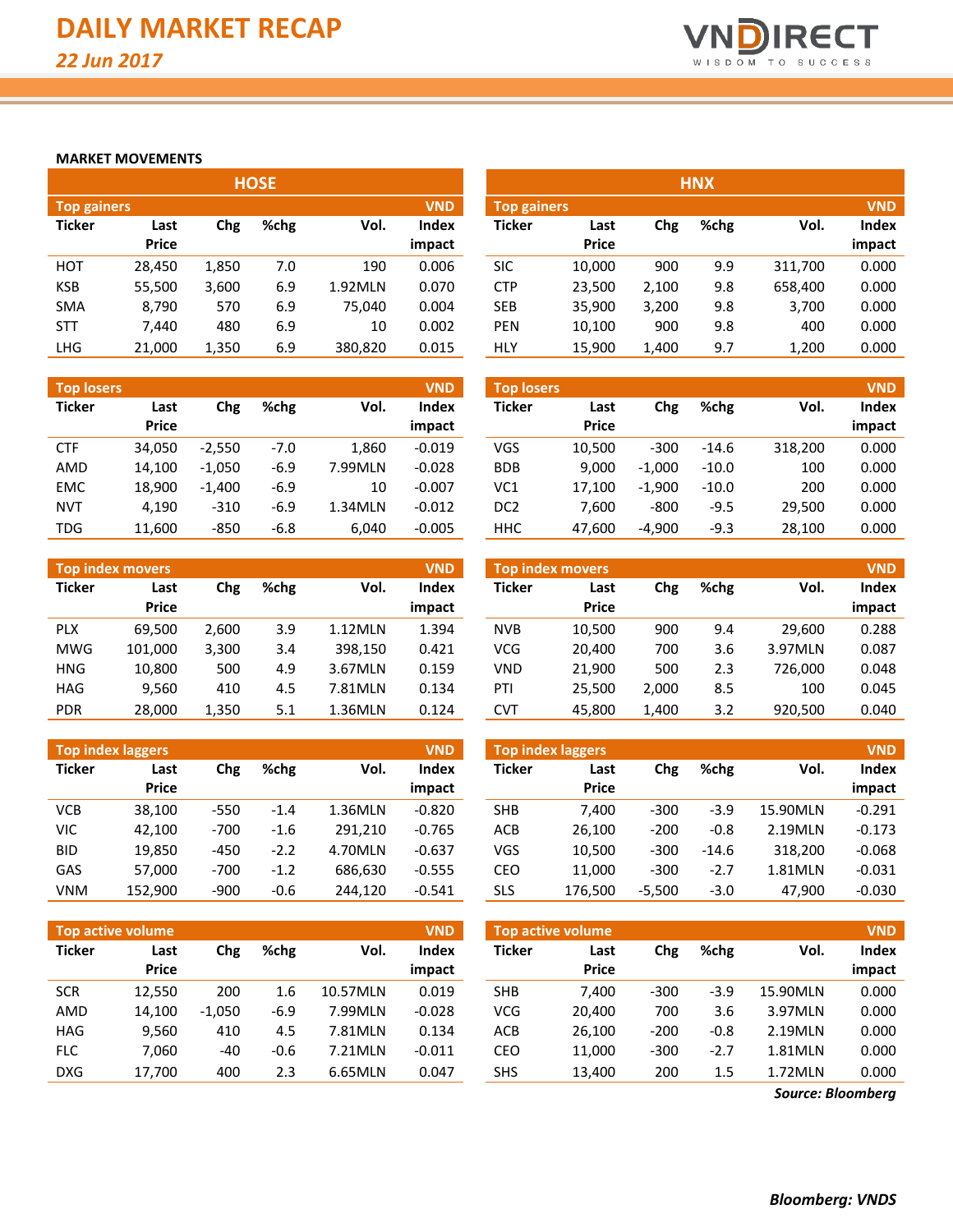

#### **MARKET MOVEMENTS**

|                                  | <b>HOSE</b> |       |      |         |        |  |  |  |  |  |  |  |  |  |
|----------------------------------|-------------|-------|------|---------|--------|--|--|--|--|--|--|--|--|--|
| <b>VND</b><br><b>Top gainers</b> |             |       |      |         |        |  |  |  |  |  |  |  |  |  |
| <b>Ticker</b>                    | Last        | Chg   | %chg | Vol.    | Index  |  |  |  |  |  |  |  |  |  |
|                                  | Price       |       |      |         | impact |  |  |  |  |  |  |  |  |  |
| нот                              | 28,450      | 1,850 | 7.0  | 190     | 0.006  |  |  |  |  |  |  |  |  |  |
| <b>KSB</b>                       | 55,500      | 3,600 | 6.9  | 1.92MLN | 0.070  |  |  |  |  |  |  |  |  |  |
| <b>SMA</b>                       | 8,790       | 570   | 6.9  | 75,040  | 0.004  |  |  |  |  |  |  |  |  |  |
| <b>STT</b>                       | 7.440       | 480   | 6.9  | 10      | 0.002  |  |  |  |  |  |  |  |  |  |
| LHG                              | 21,000      | 1,350 | 6.9  | 380,820 | 0.015  |  |  |  |  |  |  |  |  |  |

| <b>Top losers</b> |               |          |        |         | <b>VND</b>      |
|-------------------|---------------|----------|--------|---------|-----------------|
| <b>Ticker</b>     | Last<br>Price | Chg      | %chg   | Vol.    | Index<br>impact |
|                   |               |          |        |         |                 |
| <b>CTF</b>        | 34,050        | $-2,550$ | $-7.0$ | 1,860   | $-0.019$        |
| AMD               | 14,100        | $-1,050$ | $-6.9$ | 7.99MLN | $-0.028$        |
| <b>EMC</b>        | 18,900        | $-1,400$ | $-6.9$ | 10      | $-0.007$        |
| <b>NVT</b>        | 4,190         | $-310$   | $-6.9$ | 1.34MLN | $-0.012$        |
| TDG               | 11,600        | $-850$   | $-6.8$ | 6,040   | $-0.005$        |

| <b>VND</b><br><b>Top index movers</b> |              |       |      |         |        |  |  |  |  |  |  |  |
|---------------------------------------|--------------|-------|------|---------|--------|--|--|--|--|--|--|--|
| <b>Ticker</b>                         | Last         | Chg   | %chg | Vol.    | Index  |  |  |  |  |  |  |  |
|                                       | <b>Price</b> |       |      |         | impact |  |  |  |  |  |  |  |
| <b>PLX</b>                            | 69,500       | 2,600 | 3.9  | 1.12MLN | 1.394  |  |  |  |  |  |  |  |
| <b>MWG</b>                            | 101,000      | 3,300 | 3.4  | 398,150 | 0.421  |  |  |  |  |  |  |  |
| HNG                                   | 10,800       | 500   | 4.9  | 3.67MLN | 0.159  |  |  |  |  |  |  |  |
| HAG                                   | 9,560        | 410   | 4.5  | 7.81MLN | 0.134  |  |  |  |  |  |  |  |
| <b>PDR</b>                            | 28,000       | 1,350 | 5.1  | 1.36MLN | 0.124  |  |  |  |  |  |  |  |

| <b>Top index laggers</b><br><b>VND</b> |              |        |        |         |          |  |  |  |  |  |  |  |  |
|----------------------------------------|--------------|--------|--------|---------|----------|--|--|--|--|--|--|--|--|
| <b>Ticker</b>                          | Last         | Chg    | %chg   | Vol.    | Index    |  |  |  |  |  |  |  |  |
|                                        | <b>Price</b> |        |        |         | impact   |  |  |  |  |  |  |  |  |
| VCB                                    | 38.100       | $-550$ | $-1.4$ | 1.36MLN | $-0.820$ |  |  |  |  |  |  |  |  |
| VIC                                    | 42,100       | $-700$ | $-1.6$ | 291,210 | $-0.765$ |  |  |  |  |  |  |  |  |
| <b>BID</b>                             | 19.850       | $-450$ | $-2.2$ | 4.70MLN | $-0.637$ |  |  |  |  |  |  |  |  |
| GAS                                    | 57,000       | $-700$ | $-1.2$ | 686,630 | $-0.555$ |  |  |  |  |  |  |  |  |
| VNM                                    | 152,900      | $-900$ | -0.6   | 244,120 | $-0.541$ |  |  |  |  |  |  |  |  |

|               | Top active volume    |          |        |          | <b>VND</b>      | <b>Top active volume</b> |                      |        |        |          |                 |
|---------------|----------------------|----------|--------|----------|-----------------|--------------------------|----------------------|--------|--------|----------|-----------------|
| <b>Ticker</b> | Last<br><b>Price</b> | Chg      | %chg   | Vol.     | Index<br>impact | Ticker                   | Last<br><b>Price</b> | Chg    | %chg   | Vol.     | Index<br>impact |
| <b>SCR</b>    | 12.550               | 200      | 1.6    | 10.57MLN | 0.019           | <b>SHB</b>               | 7.400                | $-300$ | $-3.9$ | 15.90MLN | 0.000           |
| AMD           | 14,100               | $-1.050$ | $-6.9$ | 7.99MLN  | $-0.028$        | <b>VCG</b>               | 20,400               | 700    | 3.6    | 3.97MLN  | 0.000           |
| <b>HAG</b>    | 9,560                | 410      | 4.5    | 7.81MLN  | 0.134           | ACB                      | 26,100               | $-200$ | $-0.8$ | 2.19MLN  | 0.000           |
| <b>FLC</b>    | 7.060                | -40      | $-0.6$ | 7.21MLN  | $-0.011$        | CEO                      | 11,000               | $-300$ | $-2.7$ | 1.81MLN  | 0.000           |
| <b>DXG</b>    | 17,700               | 400      | 2.3    | 6.65MLN  | 0.047           | SHS                      | 13,400               | 200    | 1.5    | 1.72MLN  | 0.000           |

|                                  |              |       | <b>HOSE</b> |         |        |               |                           |       | <b>HNX</b> |         |        |  |
|----------------------------------|--------------|-------|-------------|---------|--------|---------------|---------------------------|-------|------------|---------|--------|--|
| <b>VND</b><br><b>Top gainers</b> |              |       |             |         |        |               | <b>VND</b><br>Top gainers |       |            |         |        |  |
| Ticker                           | Last         | Chg   | %chg        | Vol.    | Index  | <b>Ticker</b> | Last                      | Chg   | %chg       | Vol.    | Index  |  |
|                                  | <b>Price</b> |       |             |         | impact |               | <b>Price</b>              |       |            |         | impact |  |
| нот                              | 28,450       | 1,850 | 7.0         | 190     | 0.006  | <b>SIC</b>    | 10,000                    | 900   | 9.9        | 311,700 | 0.000  |  |
| KSB                              | 55,500       | 3,600 | 6.9         | 1.92MLN | 0.070  | <b>CTP</b>    | 23,500                    | 2,100 | 9.8        | 658,400 | 0.000  |  |
| SMA                              | 8,790        | 570   | 6.9         | 75,040  | 0.004  | <b>SEB</b>    | 35,900                    | 3,200 | 9.8        | 3,700   | 0.000  |  |
| STT                              | 7,440        | 480   | 6.9         | 10      | 0.002  | <b>PEN</b>    | 10,100                    | 900   | 9.8        | 400     | 0.000  |  |
| LHG                              | 21,000       | 1,350 | 6.9         | 380,820 | 0.015  | <b>HLY</b>    | 15,900                    | 1,400 | 9.7        | 1,200   | 0.000  |  |

| <b>Top losers</b> |                      |          |        |         | <b>VND</b>             | <b>Top losers</b> |                      |          |         |         | <b>VND</b>      |
|-------------------|----------------------|----------|--------|---------|------------------------|-------------------|----------------------|----------|---------|---------|-----------------|
| Ticker            | Last<br><b>Price</b> | Chg      | %chg   | Vol.    | <b>Index</b><br>impact | <b>Ticker</b>     | Last<br><b>Price</b> | Chg      | %chg    | Vol.    | Index<br>impact |
| CTF               | 34.050               | $-2.550$ | $-7.0$ | 1.860   | $-0.019$               | VGS               | 10.500               | $-300$   | $-14.6$ | 318,200 | 0.000           |
| AMD               | 14,100               | $-1.050$ | $-6.9$ | 7.99MLN | $-0.028$               | <b>BDB</b>        | 9.000                | $-1.000$ | $-10.0$ | 100     | 0.000           |
| <b>EMC</b>        | 18,900               | $-1.400$ | $-6.9$ | 10      | $-0.007$               | VC1               | 17.100               | $-1,900$ | $-10.0$ | 200     | 0.000           |
| <b>NVT</b>        | 4.190                | $-310$   | $-6.9$ | 1.34MLN | $-0.012$               | DC2               | 7.600                | $-800$   | $-9.5$  | 29.500  | 0.000           |
| TDG               | 11,600               | $-850$   | $-6.8$ | 6,040   | $-0.005$               | <b>HHC</b>        | 47,600               | $-4,900$ | $-9.3$  | 28,100  | 0.000           |

|            | <b>Top index movers</b> |       |      |         | <b>VND</b> | <b>Top index movers</b> |              |       |      |         | <b>VND</b> |
|------------|-------------------------|-------|------|---------|------------|-------------------------|--------------|-------|------|---------|------------|
| Ticker     | Last                    | Chg   | %chg | Vol.    | Index      | Ticker                  | Last         | Chg   | %chg | Vol.    | Index      |
|            | <b>Price</b>            |       |      |         | impact     |                         | <b>Price</b> |       |      |         | impact     |
| <b>PLX</b> | 69.500                  | 2,600 | 3.9  | 1.12MLN | 1.394      | <b>NVB</b>              | 10,500       | 900   | 9.4  | 29.600  | 0.288      |
| MWG        | 101,000                 | 3,300 | 3.4  | 398.150 | 0.421      | VCG                     | 20,400       | 700   | 3.6  | 3.97MLN | 0.087      |
| HNG        | 10,800                  | 500   | 4.9  | 3.67MLN | 0.159      | <b>VND</b>              | 21.900       | 500   | 2.3  | 726,000 | 0.048      |
| HAG        | 9,560                   | 410   | 4.5  | 7.81MLN | 0.134      | PTI                     | 25.500       | 2,000 | 8.5  | 100     | 0.045      |
| <b>PDR</b> | 28,000                  | 1,350 | 5.1  | 1.36MLN | 0.124      | <b>CVT</b>              | 45,800       | 1,400 | 3.2  | 920,500 | 0.040      |

|        | <b>Top index laggers</b> |        |        |         | <b>VND</b> |               | <b>Top index laggers</b> |          |         |          | <b>VND</b>   |
|--------|--------------------------|--------|--------|---------|------------|---------------|--------------------------|----------|---------|----------|--------------|
| Ticker | Last                     | Chg    | %chg   | Vol.    | Index      | <b>Ticker</b> | Last                     | Chg      | %chg    | Vol.     | <b>Index</b> |
|        | <b>Price</b>             |        |        |         | impact     |               | <b>Price</b>             |          |         |          | impact       |
| VCB    | 38,100                   | $-550$ | $-1.4$ | 1.36MLN | $-0.820$   | <b>SHB</b>    | 7.400                    | $-300$   | $-3.9$  | 15.90MLN | $-0.291$     |
| VIC    | 42,100                   | $-700$ | $-1.6$ | 291.210 | $-0.765$   | <b>ACB</b>    | 26,100                   | $-200$   | $-0.8$  | 2.19MLN  | $-0.173$     |
| BID    | 19,850                   | $-450$ | $-2.2$ | 4.70MLN | $-0.637$   | VGS           | 10,500                   | $-300$   | $-14.6$ | 318.200  | $-0.068$     |
| GAS    | 57,000                   | $-700$ | $-1.2$ | 686.630 | $-0.555$   | CEO           | 11.000                   | $-300$   | $-2.7$  | 1.81MLN  | $-0.031$     |
| VNM    | 152,900                  | $-900$ | $-0.6$ | 244.120 | $-0.541$   | SLS           | 176.500                  | $-5,500$ | $-3.0$  | 47.900   | $-0.030$     |

|               | <b>VND</b><br><b>Top active volume</b> |        |         |          |        |  |  |  |  |  |  |  |  |  |
|---------------|----------------------------------------|--------|---------|----------|--------|--|--|--|--|--|--|--|--|--|
| <b>Ticker</b> | Last                                   | Chg    | %chg    | Vol.     | Index  |  |  |  |  |  |  |  |  |  |
|               | <b>Price</b>                           |        |         |          | impact |  |  |  |  |  |  |  |  |  |
| <b>SHB</b>    | 7,400                                  | $-300$ | $-3.9$  | 15.90MLN | 0.000  |  |  |  |  |  |  |  |  |  |
| <b>VCG</b>    | 20,400                                 | 700    | 3.6     | 3.97MLN  | 0.000  |  |  |  |  |  |  |  |  |  |
| ACB           | 26,100                                 | $-200$ | $-0.8$  | 2.19MLN  | 0.000  |  |  |  |  |  |  |  |  |  |
| CEO           | 11,000                                 | $-300$ | $-2.7$  | 1.81MLN  | 0.000  |  |  |  |  |  |  |  |  |  |
| <b>SHS</b>    | 13,400                                 | 200    | $1.5\,$ | 1.72MLN  | 0.000  |  |  |  |  |  |  |  |  |  |

*Source: Bloomberg*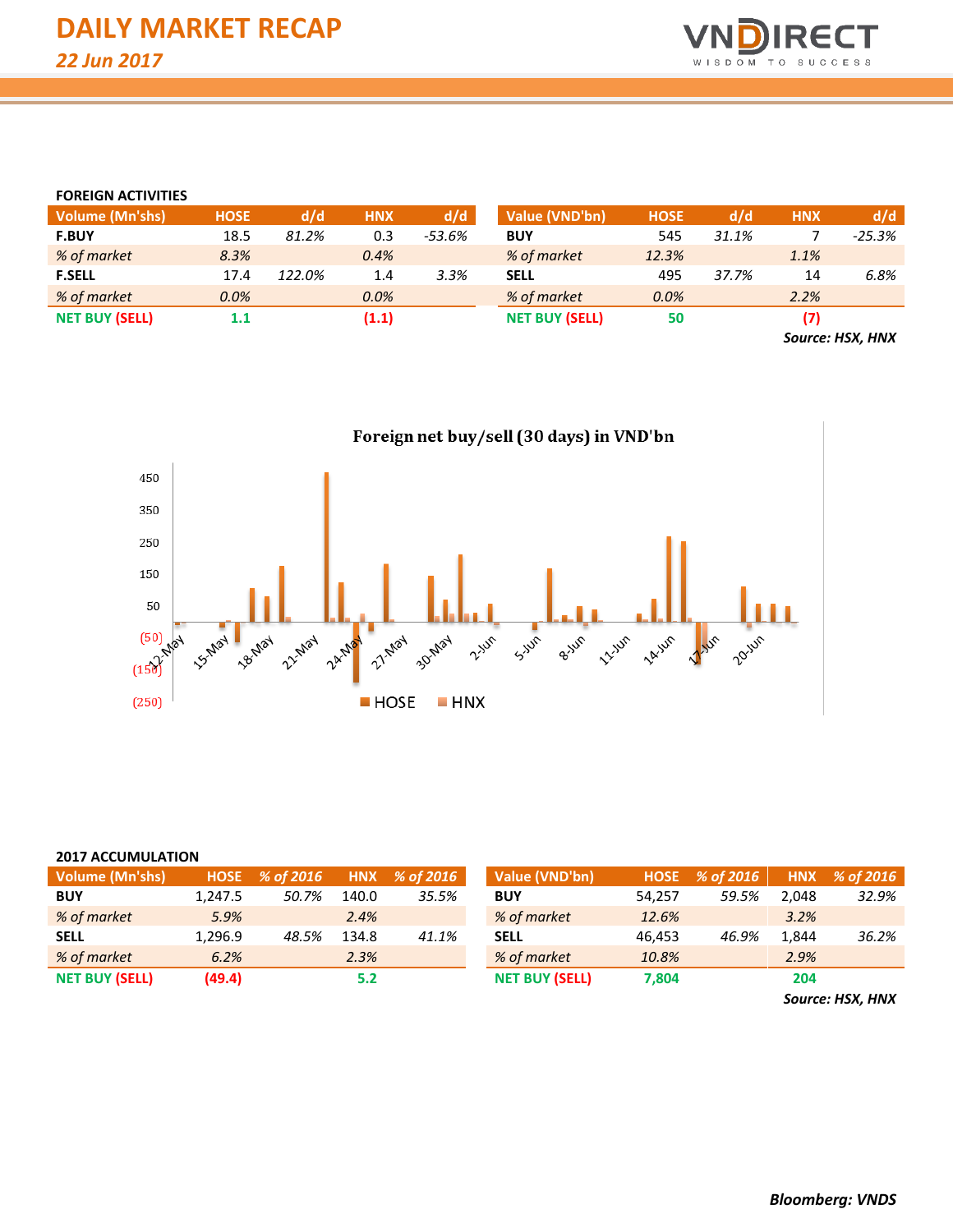

#### **FOREIGN ACTIVITIES**

| <b>Volume (Mn'shs)</b> | <b>HOSE</b> | d/d    | HNX   | d/d    | Value (VND'bn)        | <b>HOSE</b> | d/d   | <b>HNX</b> | d/d      |
|------------------------|-------------|--------|-------|--------|-----------------------|-------------|-------|------------|----------|
| <b>F.BUY</b>           | 18.5        | 81.2%  | 0.3   | -53.6% | <b>BUY</b>            | 545         | 31.1% |            | $-25.3%$ |
| % of market            | 8.3%        |        | 0.4%  |        | % of market           | 12.3%       |       | 1.1%       |          |
| <b>F.SELL</b>          | 17.4        | 122.0% | 1.4   | 3.3%   | <b>SELL</b>           | 495         | 37.7% | 14         | 6.8%     |
| % of market            | $0.0\%$     |        | 0.0%  |        | % of market           | 0.0%        |       | 2.2%       |          |
| <b>NET BUY (SELL)</b>  | $1.1\,$     |        | (1.1) |        | <b>NET BUY (SELL)</b> | 50          |       |            |          |
|                        |             |        |       |        |                       |             |       | $\sim$     | .        |

*Source: HSX, HNX*

Foreign net buy/sell (30 days) in VND'bn



| <b>Volume (Mn'shs)</b> |         | HOSE % of 2016 |       | HNX $%$ of 2016 | Value (VND'bn)        |        | HOSE % of 2016 |       | HNX % of 2016 |
|------------------------|---------|----------------|-------|-----------------|-----------------------|--------|----------------|-------|---------------|
| <b>BUY</b>             | 1.247.5 | 50.7%          | 140.0 | 35.5%           | <b>BUY</b>            | 54.257 | 59.5%          | 2,048 | 32.9%         |
| % of market            | 5.9%    |                | 2.4%  |                 | % of market           | 12.6%  |                | 3.2%  |               |
| <b>SELL</b>            | 1.296.9 | 48.5%          | 134.8 | 41.1%           | <b>SELL</b>           | 46.453 | 46.9%          | 1,844 | 36.2%         |
| % of market            | 6.2%    |                | 2.3%  |                 | % of market           | 10.8%  |                | 2.9%  |               |
| <b>NET BUY (SELL)</b>  | (49.4)  |                | 5.2   |                 | <b>NET BUY (SELL)</b> | 7.804  |                | 204   |               |

*Source: HSX, HNX*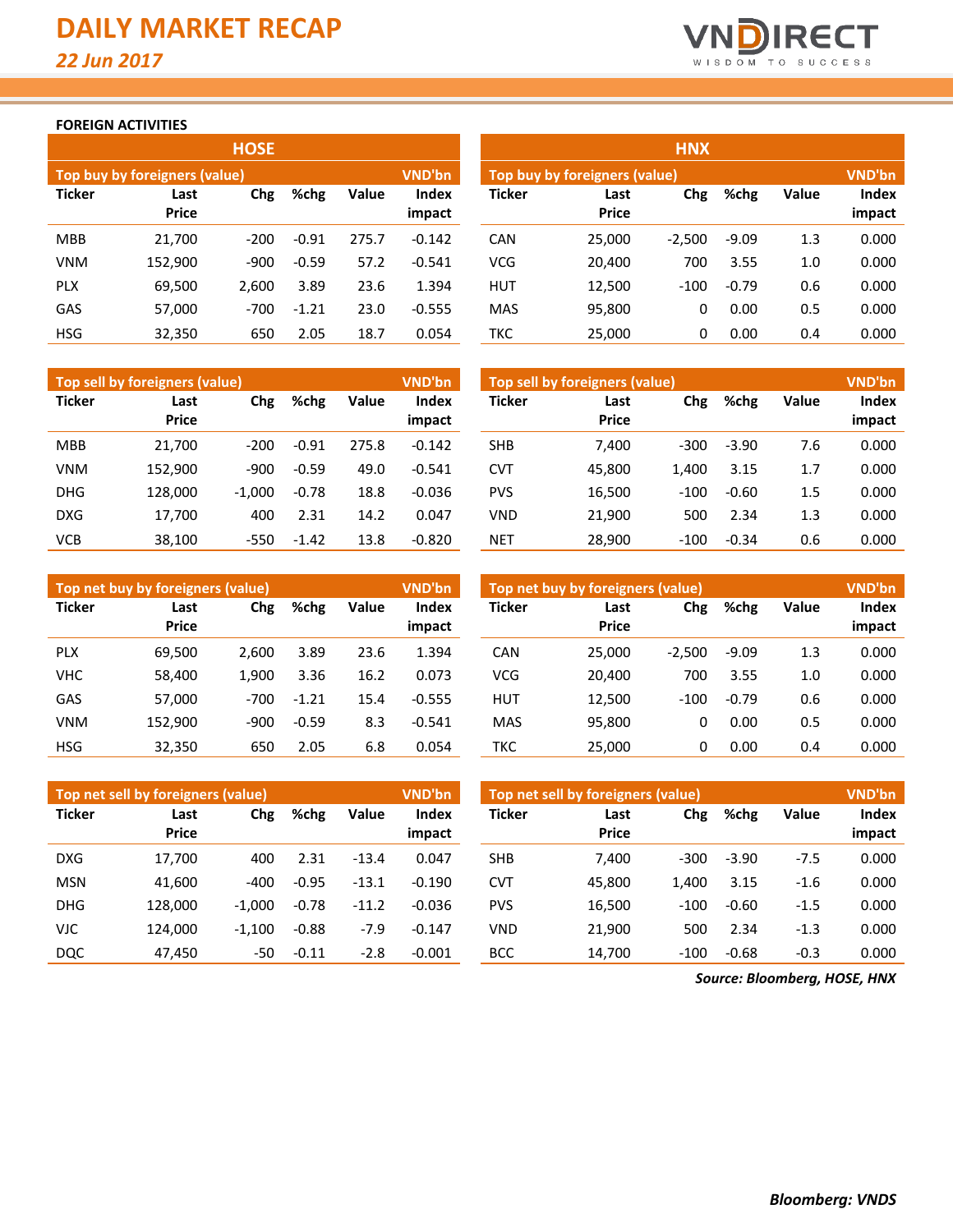

#### **FOREIGN ACTIVITIES**

| <b>HOSE</b>                   |                      |        |         |              |                        |  |  |  |  |  |  |  |  |
|-------------------------------|----------------------|--------|---------|--------------|------------------------|--|--|--|--|--|--|--|--|
| Top buy by foreigners (value) | <b>VND'bn</b>        |        |         |              |                        |  |  |  |  |  |  |  |  |
| <b>Ticker</b>                 | Last<br><b>Price</b> | Chg    | %chg    | <b>Value</b> | <b>Index</b><br>impact |  |  |  |  |  |  |  |  |
| <b>MBB</b>                    | 21,700               | $-200$ | $-0.91$ | 275.7        | $-0.142$               |  |  |  |  |  |  |  |  |
| <b>VNM</b>                    | 152,900              | $-900$ | $-0.59$ | 57.2         | $-0.541$               |  |  |  |  |  |  |  |  |
| <b>PLX</b>                    | 69,500               | 2,600  | 3.89    | 23.6         | 1.394                  |  |  |  |  |  |  |  |  |
| GAS                           | 57,000               | $-700$ | $-1.21$ | 23.0         | $-0.555$               |  |  |  |  |  |  |  |  |
| HSG                           | 32,350               | 650    | 2.05    | 18.7         | 0.054                  |  |  |  |  |  |  |  |  |

| VND'bn<br><b>Top sell by foreigners (value)</b> |               |          |         |              |                        |  |  |  |  |  |  |  |  |
|-------------------------------------------------|---------------|----------|---------|--------------|------------------------|--|--|--|--|--|--|--|--|
| <b>Ticker</b>                                   | Last<br>Price | Chg      | %chg    | <b>Value</b> | <b>Index</b><br>impact |  |  |  |  |  |  |  |  |
| <b>MBB</b>                                      | 21,700        | $-200$   | $-0.91$ | 275.8        | $-0.142$               |  |  |  |  |  |  |  |  |
| VNM                                             | 152,900       | -900     | $-0.59$ | 49.0         | $-0.541$               |  |  |  |  |  |  |  |  |
| DHG                                             | 128,000       | $-1,000$ | $-0.78$ | 18.8         | $-0.036$               |  |  |  |  |  |  |  |  |
| DXG                                             | 17,700        | 400      | 2.31    | 14.2         | 0.047                  |  |  |  |  |  |  |  |  |
| VCB                                             | 38,100        | $-550$   | $-1.42$ | 13.8         | $-0.820$               |  |  |  |  |  |  |  |  |

| VND'bn<br>Top net buy by foreigners (value) |                      |        |         |              |                        |  |  |  |  |  |  |  |  |
|---------------------------------------------|----------------------|--------|---------|--------------|------------------------|--|--|--|--|--|--|--|--|
| <b>Ticker</b>                               | Last<br><b>Price</b> | Chg    | %chg    | <b>Value</b> | <b>Index</b><br>impact |  |  |  |  |  |  |  |  |
| <b>PLX</b>                                  | 69,500               | 2,600  | 3.89    | 23.6         | 1.394                  |  |  |  |  |  |  |  |  |
| VHC                                         | 58,400               | 1,900  | 3.36    | 16.2         | 0.073                  |  |  |  |  |  |  |  |  |
| GAS                                         | 57,000               | $-700$ | $-1.21$ | 15.4         | $-0.555$               |  |  |  |  |  |  |  |  |
| <b>VNM</b>                                  | 152,900              | $-900$ | $-0.59$ | 8.3          | $-0.541$               |  |  |  |  |  |  |  |  |
| HSG                                         | 32,350               | 650    | 2.05    | 6.8          | 0.054                  |  |  |  |  |  |  |  |  |

| VND'bn<br>Top net sell by foreigners (value) |              |          |         |              |              |  |  |  |  |  |  |  |  |
|----------------------------------------------|--------------|----------|---------|--------------|--------------|--|--|--|--|--|--|--|--|
| Ticker                                       | Last         | Chg      | %chg    | <b>Value</b> | <b>Index</b> |  |  |  |  |  |  |  |  |
|                                              | <b>Price</b> |          |         |              | impact       |  |  |  |  |  |  |  |  |
| <b>DXG</b>                                   | 17,700       | 400      | 2.31    | $-13.4$      | 0.047        |  |  |  |  |  |  |  |  |
| <b>MSN</b>                                   | 41,600       | $-400$   | $-0.95$ | $-13.1$      | $-0.190$     |  |  |  |  |  |  |  |  |
| <b>DHG</b>                                   | 128,000      | $-1,000$ | $-0.78$ | $-11.2$      | $-0.036$     |  |  |  |  |  |  |  |  |
| VJC                                          | 124,000      | $-1,100$ | $-0.88$ | $-7.9$       | $-0.147$     |  |  |  |  |  |  |  |  |
| DQC                                          | 47,450       | -50      | $-0.11$ | $-2.8$       | $-0.001$     |  |  |  |  |  |  |  |  |

|            |                                      | <b>HOSE</b> |         |       |                 |               |                                | <b>HNX</b> |         |       |                 |  |
|------------|--------------------------------------|-------------|---------|-------|-----------------|---------------|--------------------------------|------------|---------|-------|-----------------|--|
|            | <b>Top buy by foreigners (value)</b> |             |         |       | <b>VND'bn</b>   |               | Top buy by foreigners (value), |            |         |       |                 |  |
| Ticker     | Last<br><b>Price</b>                 | Chg         | %chg    | Value | Index<br>impact | <b>Ticker</b> | Last<br><b>Price</b>           | Chg        | %chg    | Value | Index<br>impact |  |
| <b>MBB</b> | 21,700                               | $-200$      | $-0.91$ | 275.7 | $-0.142$        | <b>CAN</b>    | 25,000                         | $-2,500$   | $-9.09$ | 1.3   | 0.000           |  |
| VNM        | 152,900                              | $-900$      | $-0.59$ | 57.2  | $-0.541$        | <b>VCG</b>    | 20,400                         | 700        | 3.55    | 1.0   | 0.000           |  |
| <b>PLX</b> | 69,500                               | 2,600       | 3.89    | 23.6  | 1.394           | <b>HUT</b>    | 12,500                         | $-100$     | $-0.79$ | 0.6   | 0.000           |  |
| GAS        | 57,000                               | $-700$      | $-1.21$ | 23.0  | $-0.555$        | <b>MAS</b>    | 95,800                         | 0          | 0.00    | 0.5   | 0.000           |  |
| HSG        | 32,350                               | 650         | 2.05    | 18.7  | 0.054           | <b>TKC</b>    | 25,000                         | 0          | 0.00    | 0.4   | 0.000           |  |

|            | <b>Top sell by foreigners (value)</b> |          |         |       | <b>VND'bn</b>          | Top sell by foreigners (value) |                      |        |         |              | <b>VND'bn</b>   |
|------------|---------------------------------------|----------|---------|-------|------------------------|--------------------------------|----------------------|--------|---------|--------------|-----------------|
| Ticker     | Last<br><b>Price</b>                  | Chg      | %chg    | Value | <b>Index</b><br>impact | <b>Ticker</b>                  | Last<br><b>Price</b> | Chg    | %chg    | <b>Value</b> | Index<br>impact |
| MBB        | 21.700                                | $-200$   | $-0.91$ | 275.8 | $-0.142$               | <b>SHB</b>                     | 7.400                | $-300$ | $-3.90$ | 7.6          | 0.000           |
| VNM        | 152.900                               | $-900$   | $-0.59$ | 49.0  | $-0.541$               | <b>CVT</b>                     | 45,800               | 1.400  | 3.15    | 1.7          | 0.000           |
| DHG        | 128.000                               | $-1.000$ | $-0.78$ | 18.8  | $-0.036$               | <b>PVS</b>                     | 16,500               | $-100$ | $-0.60$ | 1.5          | 0.000           |
| <b>DXG</b> | 17,700                                | 400      | 2.31    | 14.2  | 0.047                  | <b>VND</b>                     | 21.900               | 500    | 2.34    | 1.3          | 0.000           |
| VCB        | 38,100                                | $-550$   | $-1.42$ | 13.8  | $-0.820$               | <b>NET</b>                     | 28,900               | $-100$ | $-0.34$ | 0.6          | 0.000           |

|            | Top net buy by foreigners (value) |        |         |              | <b>VND'bn</b>          | Top net buy by foreigners (value) | <b>VND'bn</b>        |          |         |       |                 |
|------------|-----------------------------------|--------|---------|--------------|------------------------|-----------------------------------|----------------------|----------|---------|-------|-----------------|
| Ticker     | Last<br><b>Price</b>              | Chg    | %chg    | <b>Value</b> | <b>Index</b><br>impact | <b>Ticker</b>                     | Last<br><b>Price</b> | Chg      | %chg    | Value | Index<br>impact |
| <b>PLX</b> | 69,500                            | 2.600  | 3.89    | 23.6         | 1.394                  | CAN                               | 25.000               | $-2,500$ | $-9.09$ | 1.3   | 0.000           |
| VHC        | 58,400                            | 1.900  | 3.36    | 16.2         | 0.073                  | <b>VCG</b>                        | 20,400               | 700      | 3.55    | 1.0   | 0.000           |
| GAS        | 57,000                            | $-700$ | $-1.21$ | 15.4         | $-0.555$               | <b>HUT</b>                        | 12.500               | $-100$   | $-0.79$ | 0.6   | 0.000           |
| VNM        | 152,900                           | $-900$ | $-0.59$ | 8.3          | $-0.541$               | <b>MAS</b>                        | 95,800               | 0        | 0.00    | 0.5   | 0.000           |
| HSG        | 32,350                            | 650    | 2.05    | 6.8          | 0.054                  | TKC                               | 25,000               | 0        | 0.00    | 0.4   | 0.000           |

|            | Top net sell by foreigners (value) |          |         |                       | <b>VND'bn</b> | Top net sell by foreigners (value), | VND'bn       |        |         |              |        |  |
|------------|------------------------------------|----------|---------|-----------------------|---------------|-------------------------------------|--------------|--------|---------|--------------|--------|--|
| Ticker     | Chg<br>Last                        |          | %chg    | <b>Index</b><br>Value |               | <b>Ticker</b>                       | Last         | Chg    | %chg    | <b>Value</b> | Index  |  |
|            | <b>Price</b>                       |          |         |                       | impact        |                                     | <b>Price</b> |        |         |              | impact |  |
| DXG        | 17,700                             | 400      | 2.31    | $-13.4$               | 0.047         | <b>SHB</b>                          | 7.400        | -300   | $-3.90$ | $-7.5$       | 0.000  |  |
| <b>MSN</b> | 41,600                             | -400     | $-0.95$ | $-13.1$               | $-0.190$      | <b>CVT</b>                          | 45.800       | 1.400  | 3.15    | $-1.6$       | 0.000  |  |
| <b>DHG</b> | 128.000                            | $-1.000$ | $-0.78$ | $-11.2$               | $-0.036$      | <b>PVS</b>                          | 16,500       | $-100$ | $-0.60$ | $-1.5$       | 0.000  |  |
| VJC        | 124.000                            | $-1.100$ | $-0.88$ | $-7.9$                | $-0.147$      | <b>VND</b>                          | 21.900       | 500    | 2.34    | $-1.3$       | 0.000  |  |
| DQC        | 47,450                             | -50      | $-0.11$ | $-2.8$                | $-0.001$      | <b>BCC</b>                          | 14,700       | $-100$ | $-0.68$ | $-0.3$       | 0.000  |  |
|            |                                    |          |         |                       |               |                                     |              |        |         |              |        |  |

*Source: Bloomberg, HOSE, HNX*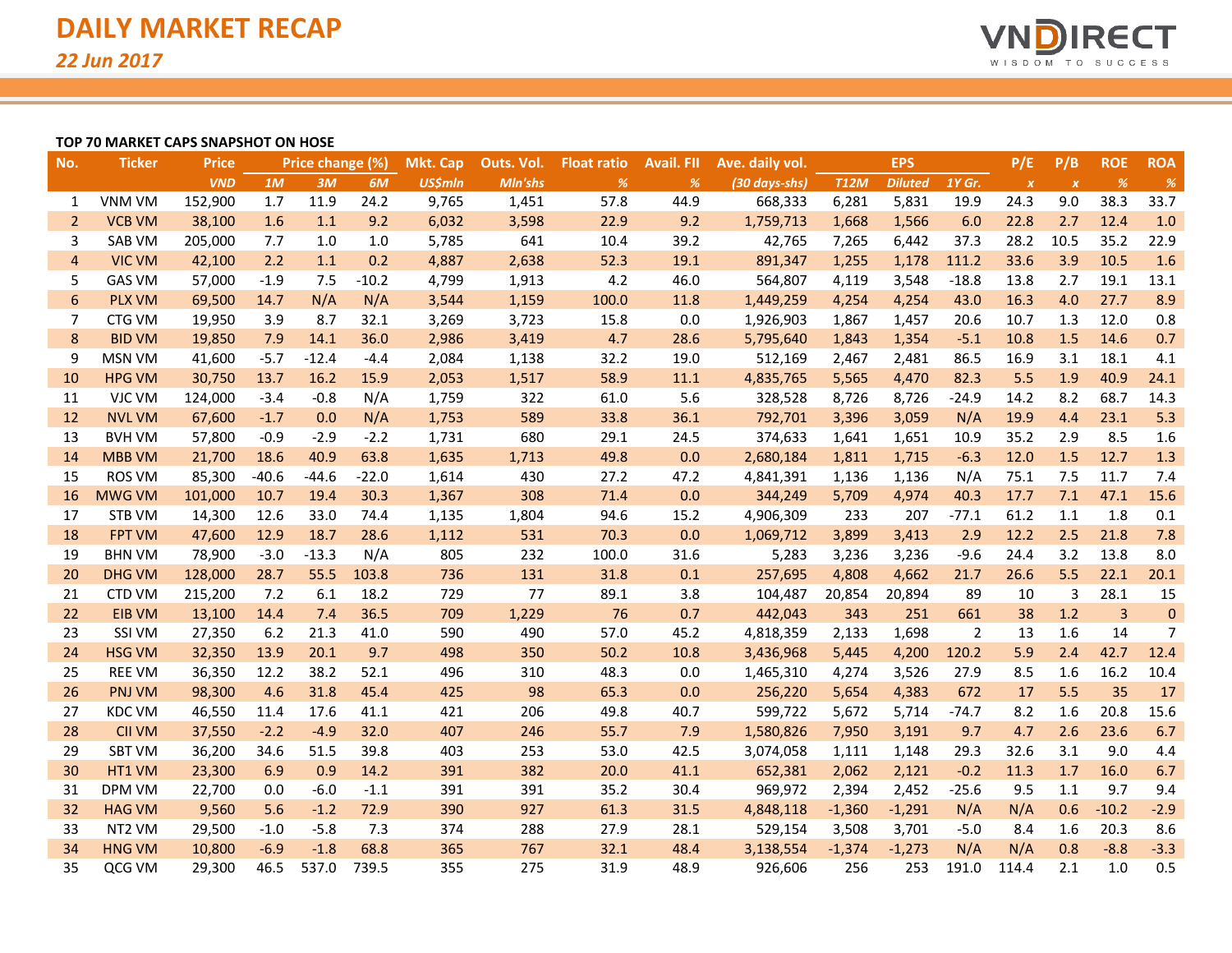

#### **TOP 70 MARKET CAPS SNAPSHOT ON HOSE**

| No.             | <b>Ticker</b> | <b>Price</b> |         | Price change (%) |         | Mkt. Cap       | Outs. Vol. | <b>Float ratio</b> | <b>Avail. FII</b> | Ave. daily vol. |             | <b>EPS</b>     |                | P/E              | P/B              | <b>ROE</b>     | <b>ROA</b>    |
|-----------------|---------------|--------------|---------|------------------|---------|----------------|------------|--------------------|-------------------|-----------------|-------------|----------------|----------------|------------------|------------------|----------------|---------------|
|                 |               | <b>VND</b>   | 1M      | 3M               | 6M      | <b>US\$mln</b> | Mln'shs    | %                  | %                 | (30 days-shs)   | <b>T12M</b> | <b>Diluted</b> | 1Y Gr.         | $\boldsymbol{x}$ | $\boldsymbol{X}$ | %              | $\frac{9}{6}$ |
| 1               | <b>VNM VM</b> | 152,900      | 1.7     | 11.9             | 24.2    | 9,765          | 1,451      | 57.8               | 44.9              | 668,333         | 6,281       | 5,831          | 19.9           | 24.3             | 9.0              | 38.3           | 33.7          |
| 2               | <b>VCB VM</b> | 38,100       | 1.6     | 1.1              | 9.2     | 6,032          | 3,598      | 22.9               | 9.2               | 1,759,713       | 1,668       | 1,566          | 6.0            | 22.8             | 2.7              | 12.4           | 1.0           |
| 3               | <b>SAB VM</b> | 205,000      | 7.7     | 1.0              | 1.0     | 5,785          | 641        | 10.4               | 39.2              | 42,765          | 7,265       | 6,442          | 37.3           | 28.2             | 10.5             | 35.2           | 22.9          |
| $\overline{4}$  | <b>VIC VM</b> | 42,100       | 2.2     | 1.1              | 0.2     | 4,887          | 2,638      | 52.3               | 19.1              | 891,347         | 1,255       | 1,178          | 111.2          | 33.6             | 3.9              | 10.5           | 1.6           |
| 5               | <b>GAS VM</b> | 57,000       | $-1.9$  | 7.5              | $-10.2$ | 4,799          | 1,913      | 4.2                | 46.0              | 564,807         | 4,119       | 3,548          | $-18.8$        | 13.8             | 2.7              | 19.1           | 13.1          |
| $6\phantom{1}6$ | <b>PLX VM</b> | 69,500       | 14.7    | N/A              | N/A     | 3,544          | 1,159      | 100.0              | 11.8              | 1,449,259       | 4,254       | 4,254          | 43.0           | 16.3             | 4.0              | 27.7           | 8.9           |
| 7               | CTG VM        | 19,950       | 3.9     | 8.7              | 32.1    | 3,269          | 3,723      | 15.8               | 0.0               | 1,926,903       | 1,867       | 1,457          | 20.6           | 10.7             | 1.3              | 12.0           | 0.8           |
| 8               | <b>BID VM</b> | 19,850       | 7.9     | 14.1             | 36.0    | 2,986          | 3,419      | 4.7                | 28.6              | 5,795,640       | 1,843       | 1,354          | $-5.1$         | 10.8             | 1.5              | 14.6           | 0.7           |
| 9               | <b>MSN VM</b> | 41,600       | $-5.7$  | $-12.4$          | $-4.4$  | 2,084          | 1,138      | 32.2               | 19.0              | 512,169         | 2,467       | 2,481          | 86.5           | 16.9             | 3.1              | 18.1           | 4.1           |
| 10              | <b>HPG VM</b> | 30,750       | 13.7    | 16.2             | 15.9    | 2,053          | 1,517      | 58.9               | 11.1              | 4,835,765       | 5,565       | 4,470          | 82.3           | 5.5              | 1.9              | 40.9           | 24.1          |
| 11              | VJC VM        | 124,000      | $-3.4$  | $-0.8$           | N/A     | 1,759          | 322        | 61.0               | 5.6               | 328,528         | 8,726       | 8,726          | $-24.9$        | 14.2             | 8.2              | 68.7           | 14.3          |
| 12              | <b>NVL VM</b> | 67,600       | $-1.7$  | 0.0              | N/A     | 1,753          | 589        | 33.8               | 36.1              | 792,701         | 3,396       | 3,059          | N/A            | 19.9             | 4.4              | 23.1           | 5.3           |
| 13              | <b>BVH VM</b> | 57,800       | $-0.9$  | $-2.9$           | $-2.2$  | 1,731          | 680        | 29.1               | 24.5              | 374,633         | 1,641       | 1,651          | 10.9           | 35.2             | 2.9              | 8.5            | 1.6           |
| 14              | <b>MBB VM</b> | 21,700       | 18.6    | 40.9             | 63.8    | 1,635          | 1,713      | 49.8               | 0.0               | 2,680,184       | 1,811       | 1,715          | $-6.3$         | 12.0             | 1.5              | 12.7           | 1.3           |
| 15              | <b>ROS VM</b> | 85,300       | $-40.6$ | $-44.6$          | $-22.0$ | 1,614          | 430        | 27.2               | 47.2              | 4,841,391       | 1,136       | 1,136          | N/A            | 75.1             | 7.5              | 11.7           | 7.4           |
| 16              | <b>MWG VM</b> | 101,000      | 10.7    | 19.4             | 30.3    | 1,367          | 308        | 71.4               | 0.0               | 344,249         | 5,709       | 4,974          | 40.3           | 17.7             | 7.1              | 47.1           | 15.6          |
| 17              | STB VM        | 14,300       | 12.6    | 33.0             | 74.4    | 1,135          | 1,804      | 94.6               | 15.2              | 4,906,309       | 233         | 207            | $-77.1$        | 61.2             | 1.1              | 1.8            | 0.1           |
| 18              | <b>FPT VM</b> | 47,600       | 12.9    | 18.7             | 28.6    | 1,112          | 531        | 70.3               | 0.0               | 1,069,712       | 3,899       | 3,413          | 2.9            | 12.2             | 2.5              | 21.8           | 7.8           |
| 19              | <b>BHN VM</b> | 78,900       | $-3.0$  | $-13.3$          | N/A     | 805            | 232        | 100.0              | 31.6              | 5,283           | 3,236       | 3,236          | $-9.6$         | 24.4             | 3.2              | 13.8           | 8.0           |
| 20              | <b>DHG VM</b> | 128,000      | 28.7    | 55.5             | 103.8   | 736            | 131        | 31.8               | 0.1               | 257,695         | 4,808       | 4,662          | 21.7           | 26.6             | 5.5              | 22.1           | 20.1          |
| 21              | <b>CTD VM</b> | 215,200      | 7.2     | 6.1              | 18.2    | 729            | 77         | 89.1               | 3.8               | 104,487         | 20,854      | 20,894         | 89             | 10               | 3                | 28.1           | 15            |
| 22              | <b>EIB VM</b> | 13,100       | 14.4    | 7.4              | 36.5    | 709            | 1,229      | 76                 | 0.7               | 442,043         | 343         | 251            | 661            | 38               | 1.2              | $\overline{3}$ | $\pmb{0}$     |
| 23              | SSI VM        | 27,350       | 6.2     | 21.3             | 41.0    | 590            | 490        | 57.0               | 45.2              | 4,818,359       | 2,133       | 1,698          | $\overline{2}$ | 13               | 1.6              | 14             | 7             |
| 24              | <b>HSG VM</b> | 32,350       | 13.9    | 20.1             | 9.7     | 498            | 350        | 50.2               | 10.8              | 3,436,968       | 5,445       | 4,200          | 120.2          | 5.9              | 2.4              | 42.7           | 12.4          |
| 25              | <b>REE VM</b> | 36,350       | 12.2    | 38.2             | 52.1    | 496            | 310        | 48.3               | 0.0               | 1,465,310       | 4,274       | 3,526          | 27.9           | 8.5              | 1.6              | 16.2           | 10.4          |
| 26              | PNJ VM        | 98,300       | 4.6     | 31.8             | 45.4    | 425            | 98         | 65.3               | 0.0               | 256,220         | 5,654       | 4,383          | 672            | 17               | 5.5              | 35             | 17            |
| 27              | <b>KDC VM</b> | 46,550       | 11.4    | 17.6             | 41.1    | 421            | 206        | 49.8               | 40.7              | 599,722         | 5,672       | 5,714          | $-74.7$        | 8.2              | 1.6              | 20.8           | 15.6          |
| 28              | <b>CII VM</b> | 37,550       | $-2.2$  | $-4.9$           | 32.0    | 407            | 246        | 55.7               | 7.9               | 1,580,826       | 7,950       | 3,191          | 9.7            | 4.7              | 2.6              | 23.6           | 6.7           |
| 29              | <b>SBT VM</b> | 36,200       | 34.6    | 51.5             | 39.8    | 403            | 253        | 53.0               | 42.5              | 3,074,058       | 1,111       | 1,148          | 29.3           | 32.6             | 3.1              | 9.0            | 4.4           |
| 30              | HT1 VM        | 23,300       | 6.9     | 0.9              | 14.2    | 391            | 382        | 20.0               | 41.1              | 652,381         | 2,062       | 2,121          | $-0.2$         | 11.3             | 1.7              | 16.0           | 6.7           |
| 31              | <b>DPM VM</b> | 22,700       | 0.0     | $-6.0$           | $-1.1$  | 391            | 391        | 35.2               | 30.4              | 969,972         | 2,394       | 2,452          | $-25.6$        | 9.5              | 1.1              | 9.7            | 9.4           |
| 32              | <b>HAG VM</b> | 9,560        | 5.6     | $-1.2$           | 72.9    | 390            | 927        | 61.3               | 31.5              | 4,848,118       | $-1,360$    | $-1,291$       | N/A            | N/A              | 0.6              | $-10.2$        | $-2.9$        |
| 33              | NT2 VM        | 29,500       | $-1.0$  | $-5.8$           | 7.3     | 374            | 288        | 27.9               | 28.1              | 529,154         | 3,508       | 3,701          | $-5.0$         | 8.4              | 1.6              | 20.3           | 8.6           |
| 34              | <b>HNG VM</b> | 10,800       | $-6.9$  | $-1.8$           | 68.8    | 365            | 767        | 32.1               | 48.4              | 3,138,554       | $-1,374$    | $-1,273$       | N/A            | N/A              | 0.8              | $-8.8$         | $-3.3$        |
| 35              | QCG VM        | 29,300       | 46.5    | 537.0            | 739.5   | 355            | 275        | 31.9               | 48.9              | 926,606         | 256         | 253            | 191.0          | 114.4            | 2.1              | 1.0            | 0.5           |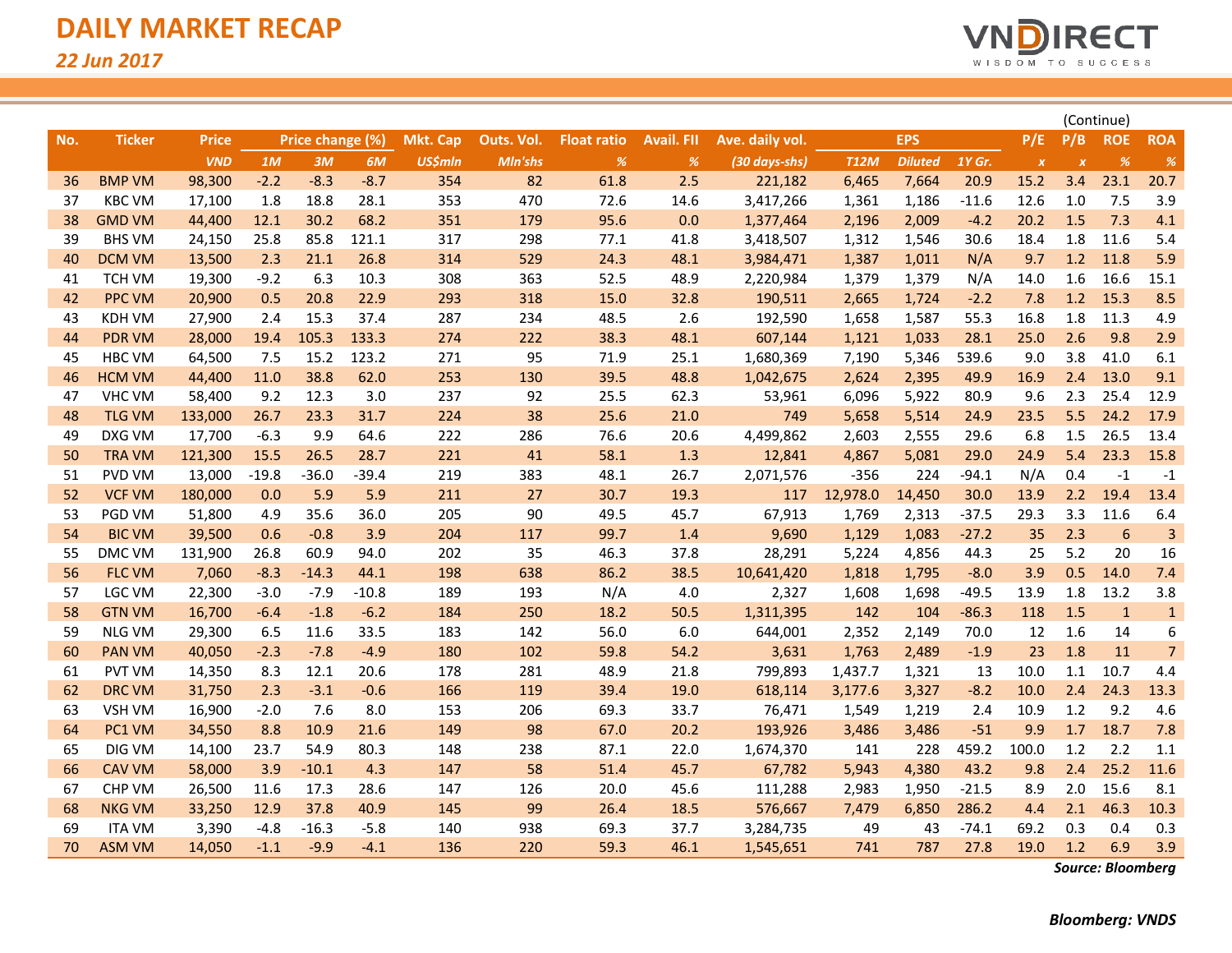

|     |               |              |                  |         |                 |                |                    |                   |                 |               |             |                |         |                  | (Continue)       |                 |                |  |
|-----|---------------|--------------|------------------|---------|-----------------|----------------|--------------------|-------------------|-----------------|---------------|-------------|----------------|---------|------------------|------------------|-----------------|----------------|--|
| No. | <b>Ticker</b> | <b>Price</b> | Price change (%) |         | <b>Mkt. Cap</b> | Outs. Vol.     | <b>Float ratio</b> | <b>Avail. FII</b> | Ave. daily vol. |               |             | <b>EPS</b>     |         | P/B              | <b>ROE</b>       | <b>ROA</b>      |                |  |
|     |               | <b>VND</b>   | 1M               | 3M      | 6M              | <b>US\$mln</b> | Mln'shs            | $\frac{9}{6}$     | %               | (30 days-shs) | <b>T12M</b> | <b>Diluted</b> | 1Y Gr.  | $\boldsymbol{X}$ | $\boldsymbol{x}$ | %               | $\frac{o}{o}$  |  |
| 36  | <b>BMP VM</b> | 98,300       | $-2.2$           | $-8.3$  | $-8.7$          | 354            | 82                 | 61.8              | 2.5             | 221,182       | 6,465       | 7,664          | 20.9    | 15.2             | 3.4              | 23.1            | 20.7           |  |
| 37  | <b>KBC VM</b> | 17,100       | 1.8              | 18.8    | 28.1            | 353            | 470                | 72.6              | 14.6            | 3,417,266     | 1,361       | 1,186          | $-11.6$ | 12.6             | $1.0\,$          | 7.5             | 3.9            |  |
| 38  | <b>GMD VM</b> | 44,400       | 12.1             | 30.2    | 68.2            | 351            | 179                | 95.6              | 0.0             | 1,377,464     | 2,196       | 2,009          | $-4.2$  | 20.2             | 1.5              | 7.3             | 4.1            |  |
| 39  | <b>BHS VM</b> | 24,150       | 25.8             | 85.8    | 121.1           | 317            | 298                | 77.1              | 41.8            | 3,418,507     | 1,312       | 1,546          | 30.6    | 18.4             | 1.8              | 11.6            | 5.4            |  |
| 40  | <b>DCM VM</b> | 13,500       | 2.3              | 21.1    | 26.8            | 314            | 529                | 24.3              | 48.1            | 3,984,471     | 1,387       | 1,011          | N/A     | 9.7              | 1.2              | 11.8            | 5.9            |  |
| 41  | <b>TCH VM</b> | 19,300       | $-9.2$           | 6.3     | 10.3            | 308            | 363                | 52.5              | 48.9            | 2,220,984     | 1,379       | 1,379          | N/A     | 14.0             | 1.6              | 16.6            | 15.1           |  |
| 42  | <b>PPC VM</b> | 20,900       | 0.5              | 20.8    | 22.9            | 293            | 318                | 15.0              | 32.8            | 190,511       | 2,665       | 1,724          | $-2.2$  | 7.8              | 1.2              | 15.3            | 8.5            |  |
| 43  | <b>KDH VM</b> | 27,900       | 2.4              | 15.3    | 37.4            | 287            | 234                | 48.5              | 2.6             | 192,590       | 1,658       | 1,587          | 55.3    | 16.8             | 1.8              | 11.3            | 4.9            |  |
| 44  | <b>PDR VM</b> | 28,000       | 19.4             | 105.3   | 133.3           | 274            | 222                | 38.3              | 48.1            | 607,144       | 1,121       | 1,033          | 28.1    | 25.0             | 2.6              | 9.8             | 2.9            |  |
| 45  | <b>HBC VM</b> | 64,500       | 7.5              | 15.2    | 123.2           | 271            | 95                 | 71.9              | 25.1            | 1,680,369     | 7,190       | 5,346          | 539.6   | 9.0              | 3.8              | 41.0            | 6.1            |  |
| 46  | <b>HCM VM</b> | 44,400       | 11.0             | 38.8    | 62.0            | 253            | 130                | 39.5              | 48.8            | 1,042,675     | 2,624       | 2,395          | 49.9    | 16.9             | 2.4              | 13.0            | 9.1            |  |
| 47  | <b>VHC VM</b> | 58,400       | 9.2              | 12.3    | 3.0             | 237            | 92                 | 25.5              | 62.3            | 53,961        | 6,096       | 5,922          | 80.9    | 9.6              | 2.3              | 25.4            | 12.9           |  |
| 48  | <b>TLG VM</b> | 133,000      | 26.7             | 23.3    | 31.7            | 224            | 38                 | 25.6              | 21.0            | 749           | 5,658       | 5,514          | 24.9    | 23.5             | 5.5              | 24.2            | 17.9           |  |
| 49  | DXG VM        | 17,700       | $-6.3$           | 9.9     | 64.6            | 222            | 286                | 76.6              | 20.6            | 4,499,862     | 2,603       | 2,555          | 29.6    | 6.8              | 1.5              | 26.5            | 13.4           |  |
| 50  | <b>TRA VM</b> | 121,300      | 15.5             | 26.5    | 28.7            | 221            | 41                 | 58.1              | 1.3             | 12,841        | 4,867       | 5,081          | 29.0    | 24.9             | 5.4              | 23.3            | 15.8           |  |
| 51  | <b>PVD VM</b> | 13,000       | $-19.8$          | $-36.0$ | $-39.4$         | 219            | 383                | 48.1              | 26.7            | 2,071,576     | $-356$      | 224            | $-94.1$ | N/A              | 0.4              | $-1$            | $-1$           |  |
| 52  | <b>VCF VM</b> | 180,000      | 0.0              | 5.9     | 5.9             | 211            | 27                 | 30.7              | 19.3            | 117           | 12,978.0    | 14,450         | 30.0    | 13.9             | 2.2              | 19.4            | 13.4           |  |
| 53  | PGD VM        | 51,800       | 4.9              | 35.6    | 36.0            | 205            | 90                 | 49.5              | 45.7            | 67,913        | 1,769       | 2,313          | $-37.5$ | 29.3             | 3.3              | 11.6            | 6.4            |  |
| 54  | <b>BIC VM</b> | 39,500       | 0.6              | $-0.8$  | 3.9             | 204            | 117                | 99.7              | 1.4             | 9,690         | 1,129       | 1,083          | $-27.2$ | 35               | 2.3              | $6\phantom{1}6$ | $\overline{3}$ |  |
| 55  | DMC VM        | 131,900      | 26.8             | 60.9    | 94.0            | 202            | 35                 | 46.3              | 37.8            | 28,291        | 5,224       | 4,856          | 44.3    | 25               | 5.2              | 20              | 16             |  |
| 56  | <b>FLC VM</b> | 7,060        | $-8.3$           | $-14.3$ | 44.1            | 198            | 638                | 86.2              | 38.5            | 10,641,420    | 1,818       | 1,795          | $-8.0$  | 3.9              | 0.5              | 14.0            | 7.4            |  |
| 57  | LGC VM        | 22,300       | $-3.0$           | $-7.9$  | $-10.8$         | 189            | 193                | N/A               | 4.0             | 2,327         | 1,608       | 1,698          | $-49.5$ | 13.9             | 1.8              | 13.2            | 3.8            |  |
| 58  | <b>GTN VM</b> | 16,700       | $-6.4$           | $-1.8$  | $-6.2$          | 184            | 250                | 18.2              | 50.5            | 1,311,395     | 142         | 104            | $-86.3$ | 118              | 1.5              | $1\,$           | $\mathbf{1}$   |  |
| 59  | <b>NLG VM</b> | 29,300       | 6.5              | 11.6    | 33.5            | 183            | 142                | 56.0              | 6.0             | 644,001       | 2,352       | 2,149          | 70.0    | 12               | 1.6              | 14              | 6              |  |
| 60  | <b>PAN VM</b> | 40,050       | $-2.3$           | $-7.8$  | $-4.9$          | 180            | 102                | 59.8              | 54.2            | 3,631         | 1,763       | 2,489          | $-1.9$  | 23               | 1.8              | 11              | $\overline{7}$ |  |
| 61  | <b>PVT VM</b> | 14,350       | 8.3              | 12.1    | 20.6            | 178            | 281                | 48.9              | 21.8            | 799,893       | 1,437.7     | 1,321          | 13      | 10.0             | $1.1\,$          | 10.7            | 4.4            |  |
| 62  | <b>DRC VM</b> | 31,750       | 2.3              | $-3.1$  | $-0.6$          | 166            | 119                | 39.4              | 19.0            | 618,114       | 3,177.6     | 3,327          | $-8.2$  | 10.0             | 2.4              | 24.3            | 13.3           |  |
| 63  | <b>VSH VM</b> | 16,900       | $-2.0$           | 7.6     | 8.0             | 153            | 206                | 69.3              | 33.7            | 76,471        | 1,549       | 1,219          | 2.4     | 10.9             | 1.2              | 9.2             | 4.6            |  |
| 64  | PC1 VM        | 34,550       | 8.8              | 10.9    | 21.6            | 149            | 98                 | 67.0              | 20.2            | 193,926       | 3,486       | 3,486          | $-51$   | 9.9              | 1.7              | 18.7            | 7.8            |  |
| 65  | DIG VM        | 14,100       | 23.7             | 54.9    | 80.3            | 148            | 238                | 87.1              | 22.0            | 1,674,370     | 141         | 228            | 459.2   | 100.0            | 1.2              | 2.2             | 1.1            |  |
| 66  | <b>CAV VM</b> | 58,000       | 3.9              | $-10.1$ | 4.3             | 147            | 58                 | 51.4              | 45.7            | 67,782        | 5,943       | 4,380          | 43.2    | 9.8              | 2.4              | 25.2            | 11.6           |  |
| 67  | <b>CHP VM</b> | 26,500       | 11.6             | 17.3    | 28.6            | 147            | 126                | 20.0              | 45.6            | 111,288       | 2,983       | 1,950          | $-21.5$ | 8.9              | 2.0              | 15.6            | 8.1            |  |
| 68  | <b>NKG VM</b> | 33,250       | 12.9             | 37.8    | 40.9            | 145            | 99                 | 26.4              | 18.5            | 576,667       | 7,479       | 6,850          | 286.2   | 4.4              | 2.1              | 46.3            | 10.3           |  |
| 69  | <b>ITA VM</b> | 3,390        | $-4.8$           | $-16.3$ | $-5.8$          | 140            | 938                | 69.3              | 37.7            | 3,284,735     | 49          | 43             | $-74.1$ | 69.2             | 0.3              | 0.4             | 0.3            |  |
| 70  | <b>ASM VM</b> | 14,050       | $-1.1$           | $-9.9$  | $-4.1$          | 136            | 220                | 59.3              | 46.1            | 1,545,651     | 741         | 787            | 27.8    | 19.0             | 1.2              | 6.9             | 3.9            |  |

*Source: Bloomberg*